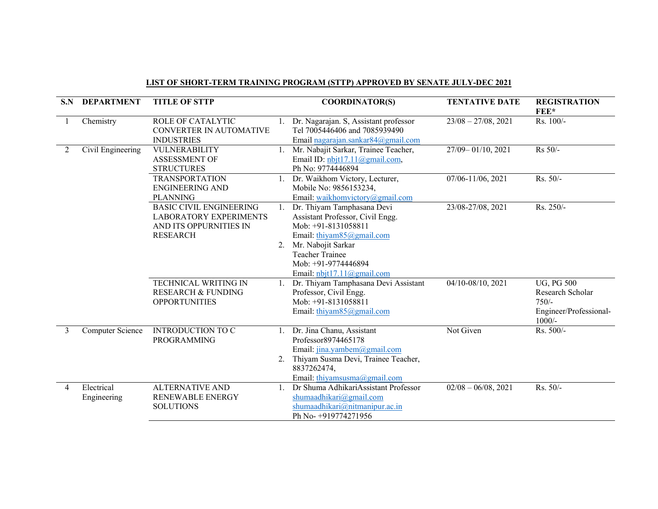| S.N            | <b>DEPARTMENT</b>         | <b>TITLE OF STTP</b>                                                                                         |          | <b>COORDINATOR(S)</b>                                                                                                                                                                                                         | <b>TENTATIVE DATE</b>  | <b>REGISTRATION</b><br>FEE*                                                            |
|----------------|---------------------------|--------------------------------------------------------------------------------------------------------------|----------|-------------------------------------------------------------------------------------------------------------------------------------------------------------------------------------------------------------------------------|------------------------|----------------------------------------------------------------------------------------|
|                | Chemistry                 | <b>ROLE OF CATALYTIC</b><br><b>CONVERTER IN AUTOMATIVE</b><br><b>INDUSTRIES</b>                              | 1.       | Dr. Nagarajan. S, Assistant professor<br>Tel 7005446406 and 7085939490<br>Email nagarajan.sankar $84$ @gmail.com                                                                                                              | $23/08 - 27/08$ , 2021 | Rs. 100/-                                                                              |
| 2              | Civil Engineering         | VULNERABILITY<br><b>ASSESSMENT OF</b><br><b>STRUCTURES</b>                                                   | 1.       | Mr. Nabajit Sarkar, Trainee Teacher,<br>Email ID: nbjt17.11@gmail.com,<br>Ph No: 9774446894                                                                                                                                   | 27/09-01/10, 2021      | Rs 50/-                                                                                |
|                |                           | <b>TRANSPORTATION</b><br><b>ENGINEERING AND</b><br><b>PLANNING</b>                                           |          | Dr. Waikhom Victory, Lecturer,<br>Mobile No: 9856153234,<br>Email: waikhomvictory@gmail.com                                                                                                                                   | 07/06-11/06, 2021      | Rs. 50/-                                                                               |
|                |                           | <b>BASIC CIVIL ENGINEERING</b><br><b>LABORATORY EXPERIMENTS</b><br>AND ITS OPPURNITIES IN<br><b>RESEARCH</b> | 1.<br>2. | Dr. Thiyam Tamphasana Devi<br>Assistant Professor, Civil Engg.<br>Mob: +91-8131058811<br>Email: thiyam $85$ @gmail.com<br>Mr. Nabojit Sarkar<br><b>Teacher Trainee</b><br>Mob: +91-9774446894<br>Email: $nbjtl7.11@gmail.com$ | 23/08-27/08, 2021      | Rs. 250/-                                                                              |
|                |                           | <b>TECHNICAL WRITING IN</b><br><b>RESEARCH &amp; FUNDING</b><br><b>OPPORTUNITIES</b>                         |          | Dr. Thiyam Tamphasana Devi Assistant<br>Professor, Civil Engg.<br>Mob: +91-8131058811<br>Email: thiyam85@gmail.com                                                                                                            | 04/10-08/10, 2021      | <b>UG, PG 500</b><br>Research Scholar<br>$750/-$<br>Engineer/Professional-<br>$1000/-$ |
| 3              | Computer Science          | <b>INTRODUCTION TO C</b><br><b>PROGRAMMING</b>                                                               | 1.<br>2. | Dr. Jina Chanu, Assistant<br>Professor8974465178<br>Email: jina.yambem@gmail.com<br>Thiyam Susma Devi, Trainee Teacher,<br>8837262474,<br>Email: thiyamsusma@gmail.com                                                        | Not Given              | Rs. 500/-                                                                              |
| $\overline{4}$ | Electrical<br>Engineering | <b>ALTERNATIVE AND</b><br>RENEWABLE ENERGY<br><b>SOLUTIONS</b>                                               |          | Dr Shuma AdhikariAssistant Professor<br>shumaadhikari@gmail.com<br>shumaadhikari@nitmanipur.ac.in<br>Ph No- +919774271956                                                                                                     | $02/08 - 06/08$ , 2021 | Rs. 50/-                                                                               |

## LIST OF SHORT-TERM TRAINING PROGRAM (STTP) APPROVED BY SENATE JULY-DEC 2021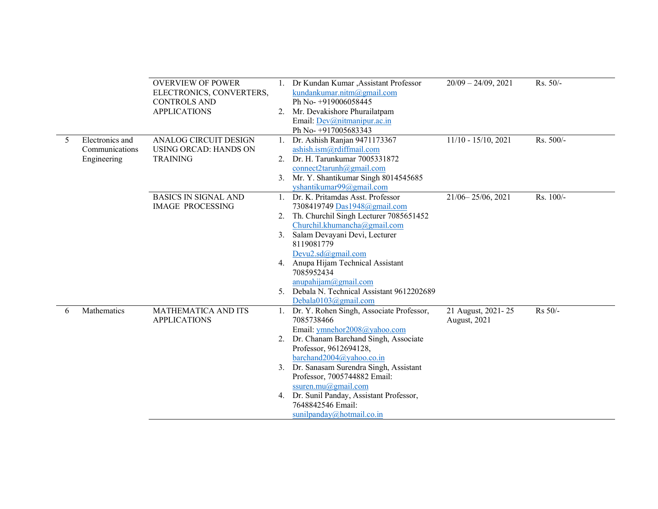|   |                 | <b>OVERVIEW OF POWER</b><br>ELECTRONICS, CONVERTERS, |    | Dr Kundan Kumar , Assistant Professor<br>kundankumar.nitm@gmail.com | $20/09 - 24/09$ , 2021 | Rs. 50/-  |
|---|-----------------|------------------------------------------------------|----|---------------------------------------------------------------------|------------------------|-----------|
|   |                 | <b>CONTROLS AND</b>                                  |    | Ph No-+919006058445                                                 |                        |           |
|   |                 | <b>APPLICATIONS</b>                                  |    | 2. Mr. Devakishore Phurailatpam                                     |                        |           |
|   |                 |                                                      |    | Email: Dev@nitmanipur.ac.in                                         |                        |           |
|   |                 |                                                      |    | Ph No-+917005683343                                                 |                        |           |
| 5 | Electronics and | <b>ANALOG CIRCUIT DESIGN</b>                         |    | 1. Dr. Ashish Ranjan 9471173367                                     | $11/10 - 15/10, 2021$  | Rs. 500/- |
|   | Communications  | <b>USING ORCAD: HANDS ON</b>                         |    | ashish.ism@rdiffmail.com                                            |                        |           |
|   | Engineering     | <b>TRAINING</b>                                      |    | 2. Dr. H. Tarunkumar 7005331872                                     |                        |           |
|   |                 |                                                      |    | connect2tarunh@gmail.com                                            |                        |           |
|   |                 |                                                      |    | 3. Mr. Y. Shantikumar Singh 8014545685                              |                        |           |
|   |                 |                                                      |    | yshantikumar99@gmail.com                                            |                        |           |
|   |                 | <b>BASICS IN SIGNAL AND</b>                          |    | Dr. K. Pritamdas Asst. Professor                                    | $21/06 - 25/06$ , 2021 | Rs. 100/- |
|   |                 | <b>IMAGE PROCESSING</b>                              |    | 7308419749 Das1948@gmail.com                                        |                        |           |
|   |                 |                                                      |    | 2. Th. Churchil Singh Lecturer 7085651452                           |                        |           |
|   |                 |                                                      |    | Churchil.khumancha@gmail.com                                        |                        |           |
|   |                 |                                                      |    | 3. Salam Devayani Devi, Lecturer                                    |                        |           |
|   |                 |                                                      |    | 8119081779                                                          |                        |           |
|   |                 |                                                      |    | Devu2.sd $(a)$ gmail.com                                            |                        |           |
|   |                 |                                                      |    | 4. Anupa Hijam Technical Assistant                                  |                        |           |
|   |                 |                                                      |    | 7085952434                                                          |                        |           |
|   |                 |                                                      |    | anupahijam@gmail.com                                                |                        |           |
|   |                 |                                                      |    | 5. Debala N. Technical Assistant 9612202689                         |                        |           |
|   |                 |                                                      |    | Debala0103@gmail.com                                                |                        |           |
| 6 | Mathematics     | MATHEMATICA AND ITS                                  |    | 1. Dr. Y. Rohen Singh, Associate Professor,                         | 21 August, 2021-25     | Rs 50/-   |
|   |                 | <b>APPLICATIONS</b>                                  |    | 7085738466                                                          | August, 2021           |           |
|   |                 |                                                      |    | Email: ymnehor2008@yahoo.com                                        |                        |           |
|   |                 |                                                      | 2. | Dr. Chanam Barchand Singh, Associate                                |                        |           |
|   |                 |                                                      |    | Professor, 9612694128,                                              |                        |           |
|   |                 |                                                      |    | barchand2004@yahoo.co.in                                            |                        |           |
|   |                 |                                                      |    | 3. Dr. Sanasam Surendra Singh, Assistant                            |                        |           |
|   |                 |                                                      |    | Professor, 7005744882 Email:                                        |                        |           |
|   |                 |                                                      |    | ssuren.mu@gmail.com                                                 |                        |           |
|   |                 |                                                      |    | 4. Dr. Sunil Panday, Assistant Professor,                           |                        |           |
|   |                 |                                                      |    | 7648842546 Email:                                                   |                        |           |
|   |                 |                                                      |    | sunilpanday@hotmail.co.in                                           |                        |           |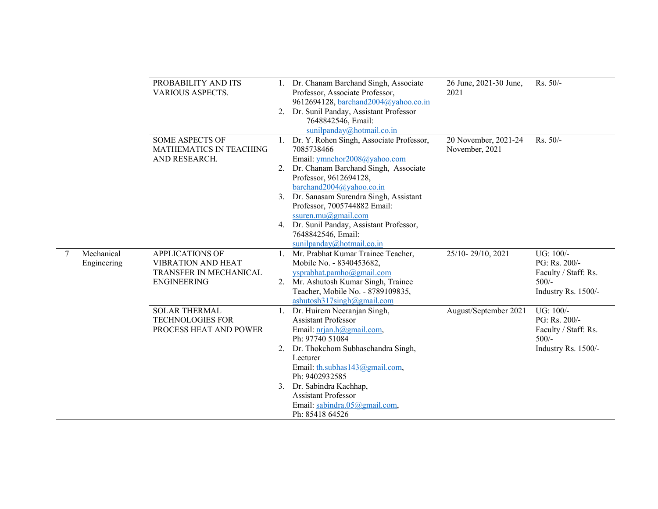|   |                           | PROBABILITY AND ITS<br><b>VARIOUS ASPECTS.</b><br><b>SOME ASPECTS OF</b><br><b>MATHEMATICS IN TEACHING</b><br>AND RESEARCH. | 2. | 1. Dr. Chanam Barchand Singh, Associate<br>Professor, Associate Professor,<br>9612694128, barchand2004@yahoo.co.in<br>Dr. Sunil Panday, Assistant Professor<br>7648842546, Email:<br>sunilpanday@hotmail.co.in | 26 June, 2021-30 June,<br>2021         | Rs. 50/-                                                      |
|---|---------------------------|-----------------------------------------------------------------------------------------------------------------------------|----|----------------------------------------------------------------------------------------------------------------------------------------------------------------------------------------------------------------|----------------------------------------|---------------------------------------------------------------|
|   |                           |                                                                                                                             |    | 1. Dr. Y. Rohen Singh, Associate Professor,<br>7085738466<br>Email: ymnehor2008@yahoo.com<br>2. Dr. Chanam Barchand Singh, Associate                                                                           | 20 November, 2021-24<br>November, 2021 | Rs. 50/-                                                      |
|   |                           |                                                                                                                             |    | Professor, 9612694128,<br>barchand2004@yahoo.co.in<br>3. Dr. Sanasam Surendra Singh, Assistant<br>Professor, 7005744882 Email:                                                                                 |                                        |                                                               |
|   |                           |                                                                                                                             |    | ssuren.mu@gmail.com<br>4. Dr. Sunil Panday, Assistant Professor,<br>7648842546, Email:<br>sunilpanday@hotmail.co.in                                                                                            |                                        |                                                               |
| 7 | Mechanical<br>Engineering | <b>APPLICATIONS OF</b><br><b>VIBRATION AND HEAT</b><br>TRANSFER IN MECHANICAL<br><b>ENGINEERING</b>                         |    | 1. Mr. Prabhat Kumar Trainee Teacher,<br>Mobile No. - 8340453682,<br>ysprabhat.pamho@gmail.com<br>2. Mr. Ashutosh Kumar Singh, Trainee                                                                         | 25/10-29/10, 2021                      | UG: 100/-<br>PG: Rs. 200/-<br>Faculty / Staff: Rs.<br>$500/-$ |
|   |                           |                                                                                                                             |    | Teacher, Mobile No. - 8789109835,<br>ashutosh317singh@gmail.com                                                                                                                                                |                                        | Industry Rs. 1500/-                                           |
|   |                           | <b>SOLAR THERMAL</b><br><b>TECHNOLOGIES FOR</b><br>PROCESS HEAT AND POWER                                                   |    | 1. Dr. Huirem Neeranjan Singh,<br><b>Assistant Professor</b><br>Email: <i>prjan.h@gmail.com</i> ,<br>Ph: 97740 51084                                                                                           | August/September 2021                  | UG: 100/-<br>PG: Rs. 200/-<br>Faculty / Staff: Rs.<br>$500/-$ |
|   |                           |                                                                                                                             |    | 2. Dr. Thokchom Subhaschandra Singh,<br>Lecturer<br>Email: th.subhas143@gmail.com,<br>Ph: 9402932585                                                                                                           |                                        | Industry Rs. 1500/-                                           |
|   |                           |                                                                                                                             |    | 3. Dr. Sabindra Kachhap,<br><b>Assistant Professor</b><br>Email: sabindra.05@gmail.com,<br>Ph: 85418 64526                                                                                                     |                                        |                                                               |